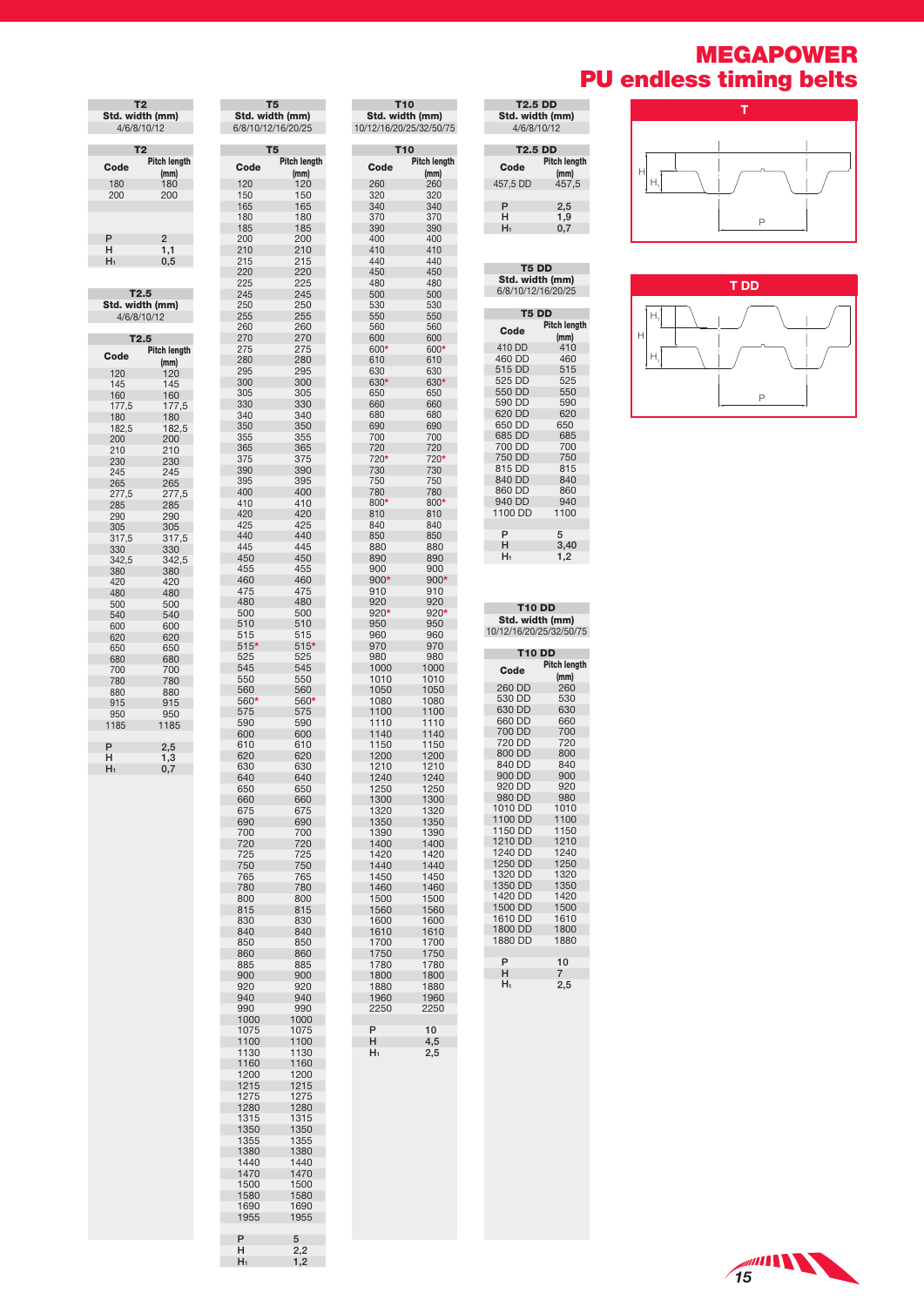## MEGAPOWER PU endless timing belts

| <b>T2.5 DD</b>                |                             |  |  |  |
|-------------------------------|-----------------------------|--|--|--|
| Std. width (mm)               |                             |  |  |  |
| 4/6/8/10/12                   |                             |  |  |  |
|                               |                             |  |  |  |
| <b>T2.5 DD</b>                |                             |  |  |  |
| Code                          | <b>Pitch length</b><br>(mm) |  |  |  |
| 457,5 DD                      | 457.5                       |  |  |  |
|                               |                             |  |  |  |
| P                             | 2,5                         |  |  |  |
| н                             | 1.9                         |  |  |  |
| H1<br>0,7                     |                             |  |  |  |
|                               |                             |  |  |  |
| T <sub>5</sub> D <sub>D</sub> |                             |  |  |  |
| Std. width (mm)               |                             |  |  |  |
| 6/8/10/12/16/20/25            |                             |  |  |  |
|                               |                             |  |  |  |
| <b>T5 DD</b>                  |                             |  |  |  |
|                               | Pitch lenath                |  |  |  |





T2 Std. width (mm) 4/6/8/10/12 T2 Code Pitch length<br>
180 180<br>
200 200 (mm) 180 180 200 200  $\frac{P}{H_1}$ H 1,1 H1 0,5 T2.5 Std. width (mm) 4/6/8/10/12 T2.5  $\mathsf{Code}$  Pitch length (mm) 120 120 145 145 160 160 177,5 177,5 180 180 182,5 182,5 200 200  $\begin{array}{@{}ll@{}} 200 & 200 \\ 210 & 210 \\ 230 & 230 \\ 245 & 245 \end{array}$ 230 230 245 245 265 265 277,5 277,5 285 285 290 290 305 305 317,5 317,5 330 330 342,5 342,5 380 380 420 420 480 480 500 500<br>540 540 540 540 600 600 620 620 650 650 680 680 700 700 780 780 880 880 915 915 950 950 000 000<br>915 915<br>950 950<br>1185 1185 P 2,5<br>H 1,3<br>H<sub>1</sub> 0,7

**The State** 

| T <sub>5</sub><br><b>Pitch length</b><br>Code<br>(mm)<br>120<br>120<br>150<br>150<br>165<br>165<br>180<br>180<br>185<br>185<br>200<br>200<br>210<br>210<br>215<br>215<br>220<br>220<br>225<br>225<br>245<br>245<br>250<br>250<br>255<br>255<br>260<br>260<br>270<br>270<br>275<br>275<br>280<br>280<br>295<br>295<br>300<br>300<br>305<br>305<br>330<br>330<br>340<br>340<br>350<br>350<br>355<br>355<br>365<br>365<br>375<br>375<br>390<br>390<br>395<br>395<br>400<br>400<br>410<br>410<br>420<br>420<br>425<br>425<br>440<br>440<br>445<br>445<br>450<br>450<br>455<br>455<br>460<br>460<br>475<br>475<br>480<br>480<br>500<br>500<br>510<br>510<br>515<br>515<br>$515*$<br>$515*$<br>525<br>525<br>545<br>545<br>550<br>550<br>560<br>560<br>560*<br>560*<br>575<br>575<br>590<br>590<br>600<br>600<br>610<br>610<br>620<br>620<br>630<br>630<br>640<br>640<br>650<br>650<br>660<br>660<br>675<br>675<br>690<br>690<br>700<br>700<br>720<br>720<br>725<br>725<br>750<br>750<br>765<br>765<br>780<br>780<br>800<br>800<br>815<br>815<br>830<br>830<br>840<br>840<br>850<br>850<br>860<br>860<br>885<br>885<br>900<br>900<br>920<br>920<br>940<br>940<br>990<br>990<br>1000<br>1000<br>1075<br>1075<br>1100<br>1100<br>1130<br>1130<br>1160<br>1160<br>1200<br>1200<br>1215<br>1215<br>1275<br>1275<br>1280<br>1280<br>1315<br>1315<br>1350<br>1350<br>1355<br>1355<br>1380<br>1380<br>1440<br>1440<br>1470<br>1470<br>1500<br>1500<br>1580<br>1580<br>1690<br>1690<br>1955<br>1955<br>5 |   | Std. width (mm)<br>6/8/10/12/16/20/25 |  |  |  |
|--------------------------------------------------------------------------------------------------------------------------------------------------------------------------------------------------------------------------------------------------------------------------------------------------------------------------------------------------------------------------------------------------------------------------------------------------------------------------------------------------------------------------------------------------------------------------------------------------------------------------------------------------------------------------------------------------------------------------------------------------------------------------------------------------------------------------------------------------------------------------------------------------------------------------------------------------------------------------------------------------------------------------------------------------------------------------------------------------------------------------------------------------------------------------------------------------------------------------------------------------------------------------------------------------------------------------------------------------------------------------------------------------------------------------------------------------------------------------------------------|---|---------------------------------------|--|--|--|
|                                                                                                                                                                                                                                                                                                                                                                                                                                                                                                                                                                                                                                                                                                                                                                                                                                                                                                                                                                                                                                                                                                                                                                                                                                                                                                                                                                                                                                                                                            |   |                                       |  |  |  |
|                                                                                                                                                                                                                                                                                                                                                                                                                                                                                                                                                                                                                                                                                                                                                                                                                                                                                                                                                                                                                                                                                                                                                                                                                                                                                                                                                                                                                                                                                            |   |                                       |  |  |  |
|                                                                                                                                                                                                                                                                                                                                                                                                                                                                                                                                                                                                                                                                                                                                                                                                                                                                                                                                                                                                                                                                                                                                                                                                                                                                                                                                                                                                                                                                                            |   |                                       |  |  |  |
|                                                                                                                                                                                                                                                                                                                                                                                                                                                                                                                                                                                                                                                                                                                                                                                                                                                                                                                                                                                                                                                                                                                                                                                                                                                                                                                                                                                                                                                                                            |   |                                       |  |  |  |
|                                                                                                                                                                                                                                                                                                                                                                                                                                                                                                                                                                                                                                                                                                                                                                                                                                                                                                                                                                                                                                                                                                                                                                                                                                                                                                                                                                                                                                                                                            |   |                                       |  |  |  |
|                                                                                                                                                                                                                                                                                                                                                                                                                                                                                                                                                                                                                                                                                                                                                                                                                                                                                                                                                                                                                                                                                                                                                                                                                                                                                                                                                                                                                                                                                            |   |                                       |  |  |  |
|                                                                                                                                                                                                                                                                                                                                                                                                                                                                                                                                                                                                                                                                                                                                                                                                                                                                                                                                                                                                                                                                                                                                                                                                                                                                                                                                                                                                                                                                                            |   |                                       |  |  |  |
|                                                                                                                                                                                                                                                                                                                                                                                                                                                                                                                                                                                                                                                                                                                                                                                                                                                                                                                                                                                                                                                                                                                                                                                                                                                                                                                                                                                                                                                                                            |   |                                       |  |  |  |
|                                                                                                                                                                                                                                                                                                                                                                                                                                                                                                                                                                                                                                                                                                                                                                                                                                                                                                                                                                                                                                                                                                                                                                                                                                                                                                                                                                                                                                                                                            |   |                                       |  |  |  |
|                                                                                                                                                                                                                                                                                                                                                                                                                                                                                                                                                                                                                                                                                                                                                                                                                                                                                                                                                                                                                                                                                                                                                                                                                                                                                                                                                                                                                                                                                            |   |                                       |  |  |  |
|                                                                                                                                                                                                                                                                                                                                                                                                                                                                                                                                                                                                                                                                                                                                                                                                                                                                                                                                                                                                                                                                                                                                                                                                                                                                                                                                                                                                                                                                                            |   |                                       |  |  |  |
|                                                                                                                                                                                                                                                                                                                                                                                                                                                                                                                                                                                                                                                                                                                                                                                                                                                                                                                                                                                                                                                                                                                                                                                                                                                                                                                                                                                                                                                                                            |   |                                       |  |  |  |
|                                                                                                                                                                                                                                                                                                                                                                                                                                                                                                                                                                                                                                                                                                                                                                                                                                                                                                                                                                                                                                                                                                                                                                                                                                                                                                                                                                                                                                                                                            |   |                                       |  |  |  |
|                                                                                                                                                                                                                                                                                                                                                                                                                                                                                                                                                                                                                                                                                                                                                                                                                                                                                                                                                                                                                                                                                                                                                                                                                                                                                                                                                                                                                                                                                            |   |                                       |  |  |  |
|                                                                                                                                                                                                                                                                                                                                                                                                                                                                                                                                                                                                                                                                                                                                                                                                                                                                                                                                                                                                                                                                                                                                                                                                                                                                                                                                                                                                                                                                                            |   |                                       |  |  |  |
|                                                                                                                                                                                                                                                                                                                                                                                                                                                                                                                                                                                                                                                                                                                                                                                                                                                                                                                                                                                                                                                                                                                                                                                                                                                                                                                                                                                                                                                                                            |   |                                       |  |  |  |
|                                                                                                                                                                                                                                                                                                                                                                                                                                                                                                                                                                                                                                                                                                                                                                                                                                                                                                                                                                                                                                                                                                                                                                                                                                                                                                                                                                                                                                                                                            |   |                                       |  |  |  |
|                                                                                                                                                                                                                                                                                                                                                                                                                                                                                                                                                                                                                                                                                                                                                                                                                                                                                                                                                                                                                                                                                                                                                                                                                                                                                                                                                                                                                                                                                            |   |                                       |  |  |  |
|                                                                                                                                                                                                                                                                                                                                                                                                                                                                                                                                                                                                                                                                                                                                                                                                                                                                                                                                                                                                                                                                                                                                                                                                                                                                                                                                                                                                                                                                                            |   |                                       |  |  |  |
|                                                                                                                                                                                                                                                                                                                                                                                                                                                                                                                                                                                                                                                                                                                                                                                                                                                                                                                                                                                                                                                                                                                                                                                                                                                                                                                                                                                                                                                                                            |   |                                       |  |  |  |
|                                                                                                                                                                                                                                                                                                                                                                                                                                                                                                                                                                                                                                                                                                                                                                                                                                                                                                                                                                                                                                                                                                                                                                                                                                                                                                                                                                                                                                                                                            |   |                                       |  |  |  |
|                                                                                                                                                                                                                                                                                                                                                                                                                                                                                                                                                                                                                                                                                                                                                                                                                                                                                                                                                                                                                                                                                                                                                                                                                                                                                                                                                                                                                                                                                            |   |                                       |  |  |  |
| н<br>$_{2,2}$<br>H1<br>1,2                                                                                                                                                                                                                                                                                                                                                                                                                                                                                                                                                                                                                                                                                                                                                                                                                                                                                                                                                                                                                                                                                                                                                                                                                                                                                                                                                                                                                                                                 | P |                                       |  |  |  |

T5

T.

**Contract** 

| T10<br>Std. width (mm)<br>10/12/16/20/25/32/50/75 |              |  |  |  |
|---------------------------------------------------|--------------|--|--|--|
| T10<br>Pitch length                               |              |  |  |  |
| Code                                              | (mm)         |  |  |  |
| 260                                               | 260          |  |  |  |
| 320<br>340                                        | 320<br>340   |  |  |  |
| 370                                               | 370          |  |  |  |
| 390                                               | 390          |  |  |  |
| 400                                               | 400          |  |  |  |
| 410<br>440                                        | 410<br>440   |  |  |  |
| 450                                               | 450          |  |  |  |
| 480<br>500                                        | 480<br>500   |  |  |  |
| 530                                               | 530          |  |  |  |
| 550                                               | 550          |  |  |  |
| 560<br>600                                        | 560<br>600   |  |  |  |
| 600*                                              | 600*         |  |  |  |
| 610                                               | 610          |  |  |  |
| 630<br>630*                                       | 630<br>630*  |  |  |  |
| 650                                               | 650          |  |  |  |
| 660                                               | 660          |  |  |  |
| 680<br>690                                        | 680<br>690   |  |  |  |
| 700                                               | 700          |  |  |  |
| 720                                               | 720          |  |  |  |
| 720*<br>730                                       | 720*<br>730  |  |  |  |
| 750                                               | 750          |  |  |  |
| 780                                               | 780          |  |  |  |
| 800*<br>810                                       | 800*<br>810  |  |  |  |
| 840                                               | 840          |  |  |  |
| 850                                               | 850          |  |  |  |
| 880<br>890                                        | 880<br>890   |  |  |  |
| 900                                               | 900          |  |  |  |
| 900*                                              | 900*         |  |  |  |
| 910<br>920                                        | 910<br>920   |  |  |  |
| 920*                                              | 920*         |  |  |  |
| 950                                               | 950          |  |  |  |
| 960<br>970                                        | 960<br>970   |  |  |  |
| 980                                               | 980          |  |  |  |
| 1000                                              | 1000         |  |  |  |
| 1010<br>1050                                      | 1010<br>1050 |  |  |  |
| 1080                                              | 1080         |  |  |  |
| 1100                                              | 1100         |  |  |  |
| 1110<br>1140                                      | 1110<br>1140 |  |  |  |
| 1150                                              | 1150         |  |  |  |
| 1200                                              | 1200         |  |  |  |
| 1210<br>1240                                      | 1210<br>1240 |  |  |  |
| 1250                                              | 1250         |  |  |  |
| 1300                                              | 1300         |  |  |  |
| 1320<br>1350                                      | 1320<br>1350 |  |  |  |
| 1390                                              | 1390         |  |  |  |
| 1400                                              | 1400         |  |  |  |
| 1420<br>1440                                      | 1420<br>1440 |  |  |  |
| 1450                                              | 1450         |  |  |  |
| 1460                                              | 1460         |  |  |  |
| 1500<br>1560                                      | 1500<br>1560 |  |  |  |
| 1600                                              | 1600         |  |  |  |
| 1610                                              | 1610         |  |  |  |
| 1700<br>1750                                      | 1700<br>1750 |  |  |  |
| 1780                                              | 1780         |  |  |  |
| 1800                                              | 1800         |  |  |  |
| 1880<br>1960                                      | 1880<br>1960 |  |  |  |
| 2250                                              | 2250         |  |  |  |
|                                                   |              |  |  |  |
| P<br>н                                            | 10<br>4,5    |  |  |  |
| H۱                                                | 2,5          |  |  |  |
|                                                   |              |  |  |  |
|                                                   |              |  |  |  |
|                                                   |              |  |  |  |
|                                                   |              |  |  |  |
|                                                   |              |  |  |  |

| Code                    | Pitch length        |
|-------------------------|---------------------|
|                         | (mm)                |
| 410 DD                  | 410                 |
| 460 DD                  | 460                 |
| 515 DD<br>525 DD        | 515<br>525          |
| 550 DD                  | 550                 |
| 590 DD                  | 590                 |
| 620 DD                  | 620                 |
| 650 DD                  | 650                 |
| 685 DD                  | 685                 |
| 700 DD                  | 700                 |
| 750 DD                  | 750                 |
| 815 DD                  | 815                 |
| 840 DD                  | 840                 |
| 860 DD                  | 860                 |
| 940 DD                  | 940                 |
| 1100 DD                 | 1100                |
|                         |                     |
| P                       | 5                   |
| Н                       | 3,40                |
| Hı                      | 1,2                 |
|                         |                     |
|                         |                     |
| <b>T10 DD</b>           |                     |
| Std. width (mm)         |                     |
| 10/12/16/20/25/32/50/75 |                     |
| <b>T10 DD</b>           |                     |
|                         |                     |
|                         |                     |
| Code                    | <b>Pitch length</b> |
|                         | (mm)                |
| 260 DD<br>530 DD        | 260<br>530          |
| 630 DD                  | 630                 |
| 660 DD                  | 660                 |
| 700 DD                  | 700                 |
| 720 DD                  | 720                 |
| 800 DD                  | 800                 |
| 840 DD                  | 840                 |
| 900 DD                  | 900                 |
| 920 DD                  | 920                 |
| 980 DD                  | 980                 |
| 1010 DD                 | 1010                |
| 1100 DD                 | 1100                |
| 1150 DD                 | 1150                |
| 1210 DD                 | 1210                |
| 1240 DD                 | 1240                |
| 1250 DD                 | 1250                |
| 1320 DD                 | 1320                |
| 1350 DD                 | 1350                |
| 1420 DD                 | 1420                |
| 1500 DD<br>1610 DD      | 1500<br>1610        |
|                         | 1800                |
| 1800 DD                 |                     |
| 1880 DD                 | 1880                |
| P<br>н                  | 10                  |
| H۱                      | 7<br>2,5            |

| ım)    |
|--------|
| /50/75 |
|        |
|        |
| length |
| nm)    |
| 260    |
| 530    |
| 630    |
| 660    |
| 700    |
| 720    |
| חח     |

*15*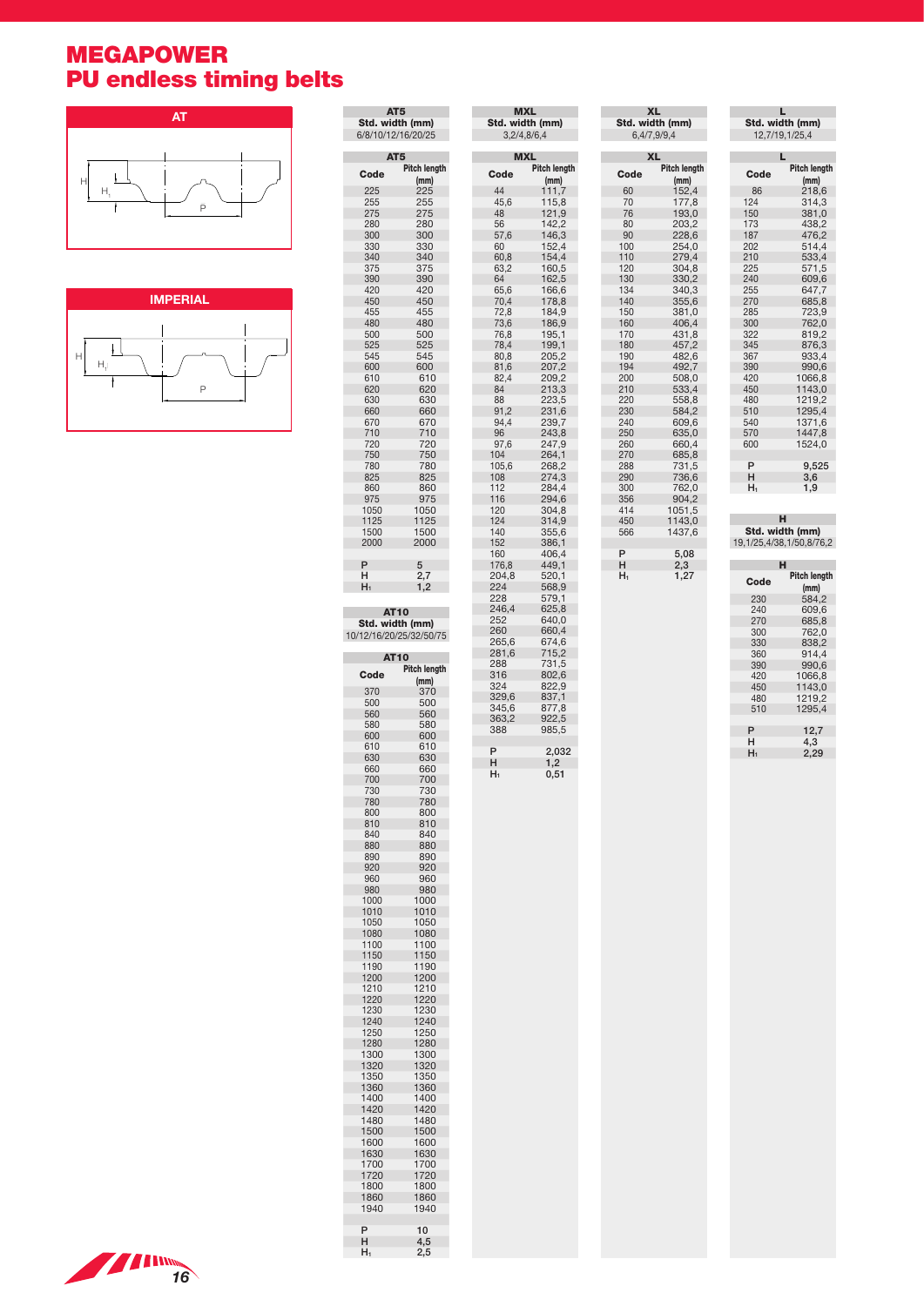## MEGAPOWER PU endless timing belts





| AT <sub>5</sub> |                             |
|-----------------|-----------------------------|
| Code            | <b>Pitch length</b><br>(mm) |
| 225             | 225                         |
| 255<br>275      | 255<br>275                  |
| 280             | 280                         |
| 300             | 300                         |
| 330<br>340      | 330<br>340                  |
| 375             | 375                         |
| 390             | 390                         |
| 420<br>450      | 420<br>450                  |
| 455             | 455                         |
| 480             | 480                         |
| 500<br>525      | 500<br>525                  |
| 545             | 545                         |
| 600             | 600                         |
| 610             | 610                         |
| 620<br>630      | 620<br>630                  |
| 660             | 660                         |
| 670             | 670                         |
| 710<br>720      | 710<br>720                  |
| 750             | 750                         |
| 780             | 780                         |
| 825<br>860      | 825<br>860                  |
| 975             | 975                         |
| 1050            | 1050                        |
| 1125            | 1125                        |
| 1500<br>2000    | 1500<br>2000                |
| P               | 5                           |
| н               | 2,7                         |
| $H_1$           | 1,2                         |
| <b>AT10</b>     | Std. width (mm)             |
|                 | 10/12/16/20/25/32/50/75     |
| <b>AT10</b>     |                             |
| Code            | Pitch length<br>(mm)        |
| 370             | 370                         |
| 500             | 500                         |
| 560<br>580      | 560<br>580                  |
|                 |                             |
| 600             | 600                         |
| 610             | 610                         |
| 630             | 630                         |
| 660<br>700      | 660<br>700                  |
| 730             | 730                         |
| 780             | 780                         |
| 800<br>810      | 800<br>810                  |
| 840             | 840                         |
| 880             | 880                         |
| 890<br>920      | 890<br>920                  |
| 960             | 960                         |
| 980             | 980                         |
| 1000<br>1010    | 1000<br>1010                |
| 1050            | 1050                        |
| 1080            | 1080                        |
| 1100            | 1100                        |
| 1150<br>1190    | 1150<br>1190                |
| 1200            | 1200                        |
| 1210            | 1210                        |
| 1220            | 1220                        |
| 1230<br>1240    | 1230<br>1240                |
| 1250            | 1250                        |
| 1280            | 1280                        |
| 1300<br>1320    | 1300<br>1320                |
| 1350            | 1350                        |
| 1360            | 1360                        |
| 1400<br>1420    | 1400<br>1420                |
| 1480            | 1480                        |
| 1500            | 1500                        |
| 1600<br>1630    | 1600<br>1630                |
| 1700            | 1700                        |
| 1720            | 1720                        |
| 1800            | 1800                        |
| 1860<br>1940    | 1860<br>1940                |
| P               | 10                          |
| Н<br>H1         | 4,5<br>2,5                  |

AT5

**College** 

**Contract** 

| <b>MXL</b><br>Std. width (mm)<br>3,2/4,8/6,4 |                |  |  |
|----------------------------------------------|----------------|--|--|
| <b>MXL</b>                                   |                |  |  |
| Code                                         | Pitch length   |  |  |
|                                              | (mm)           |  |  |
| 44                                           | 111,7          |  |  |
| 45,6                                         | 115,8          |  |  |
| 48<br>56                                     | 121,9          |  |  |
| 57,6                                         | 142,2<br>146,3 |  |  |
| 60                                           | 152,4          |  |  |
| 60,8                                         | 154,4          |  |  |
| 63,2                                         | 160,5          |  |  |
| 64                                           | 162,5          |  |  |
| 65,6                                         | 166,6          |  |  |
| 70,4                                         | 178,8          |  |  |
| 72,8<br>73,6                                 | 184,9<br>186,9 |  |  |
| 76,8                                         |                |  |  |
| 78,4                                         | 195,1<br>199,1 |  |  |
| 80,8                                         | 205,2          |  |  |
| 81,6                                         | 207,2          |  |  |
| 82,4                                         | 209,2          |  |  |
| 84                                           | 213,3          |  |  |
| 88                                           | 223,5          |  |  |
| 91,2<br>94,4                                 | 231,6<br>239,7 |  |  |
| 96                                           | 243,8          |  |  |
| $\frac{97,6}{6}$                             | 247,9          |  |  |
| 104                                          | 264,1          |  |  |
| 105,6                                        | 268,2          |  |  |
| 108                                          | 274,3          |  |  |
| 112<br>116                                   | 284,4          |  |  |
| 120                                          | 294,6<br>304,8 |  |  |
| 124                                          | 314,9          |  |  |
| 140                                          | 355,6          |  |  |
| 152                                          | 386,1          |  |  |
| 160                                          | 406,4          |  |  |
| 176,8                                        | 449,1          |  |  |
| 204,8<br>224                                 | 520,1<br>568,9 |  |  |
| 228                                          | 579,1          |  |  |
| 246,4                                        | 625,8          |  |  |
| 252                                          | 640,0          |  |  |
| 260                                          | 660,4          |  |  |
| 265,6                                        | 674,6          |  |  |
| 281,6                                        | 715,2          |  |  |
| 288<br>316                                   | 731,5<br>802,6 |  |  |
| 324                                          | 822,9          |  |  |
| 329,6                                        |                |  |  |
| 345,6                                        | 837,1          |  |  |
| 363,2                                        | 922,5          |  |  |
| 388                                          | 985,5          |  |  |
| P                                            | 2,032          |  |  |
| н                                            | 1,2            |  |  |
| ${\sf H}_1$                                  | 0,51           |  |  |
|                                              |                |  |  |

| <b>XL</b>                      |                  | L<br>Std. width (mm) |                          |  |
|--------------------------------|------------------|----------------------|--------------------------|--|
| Std. width (mm)<br>6,4/7,9/9,4 |                  | 12,7/19,1/25,4       |                          |  |
|                                |                  |                      |                          |  |
|                                | <b>XL</b>        | L                    |                          |  |
| Code                           | Pitch length     | Code                 | Pitch length             |  |
| 60                             | (mm)<br>152,4    | 86                   | (mm)<br>218,6            |  |
| 70                             | 177,8            | 124                  | 314,3                    |  |
| 76                             | 193,0            | 150                  | 381,0                    |  |
| 80                             | 203,2            | 173                  | 438,2                    |  |
| 90                             | 228,6            | 187                  | 476,2                    |  |
| 100                            | 254,0            | 202                  | 514,4                    |  |
| 110                            | 279,4            | 210                  | 533,4                    |  |
| 120                            | 304,8            | 225                  | 571,5                    |  |
| 130                            | 330,2            | 240                  | 609,6                    |  |
| 134<br>140                     | 340,3<br>355.6   | 255<br>270           | 647,7<br>685,8           |  |
| 150                            | 381,0            | 285                  | 723,9                    |  |
| 160                            | 406,4            | 300                  | 762,0                    |  |
| 170                            | 431,8            | 322                  | 819,2                    |  |
| 180                            | 457,2            | 345                  | 876,3                    |  |
| 190                            | 482,6            | 367                  | 933,4                    |  |
| 194                            | 492,7            | 390                  | 990,6                    |  |
| 200                            | 508,0            | 420                  | 1066,8                   |  |
| 210                            | 533,4            | 450                  | 1143,0                   |  |
| 220                            | 558,8            | 480                  | 1219,2                   |  |
| 230                            | 584,2            | 510                  | 1295,4<br>1371.6         |  |
| 240<br>250                     | 609,6<br>635,0   | 540<br>570           | 1447,8                   |  |
| 260                            | 660,4            | 600                  | 1524,0                   |  |
| 270                            | 685,8            |                      |                          |  |
| 288                            | 731,5            | P                    | 9,525                    |  |
| 290                            | 736,6            | н                    | 3,6                      |  |
| 300                            | 762,0            | $H_1$                | 1,9                      |  |
| 356                            | 904,2            |                      |                          |  |
| 414                            | 1051,5           |                      | н                        |  |
| 450<br>566                     | 1143,0<br>1437,6 |                      | Std. width (mm)          |  |
|                                |                  |                      | 19,1/25,4/38,1/50,8/76,2 |  |
| P                              | 5,08             |                      |                          |  |
| н                              | 2,3              |                      | н                        |  |
| H1                             | 1,27             | Code                 | Pitch length             |  |
|                                |                  |                      | (mm)                     |  |
|                                |                  | 230                  | 584,2                    |  |
|                                |                  | 240                  | 609,6                    |  |
|                                |                  | 270<br>300           | 685,8<br>762,0           |  |
|                                |                  | 330                  | 838,2                    |  |
|                                |                  | 360                  | 914,4                    |  |
|                                |                  | 390                  | 990,6                    |  |
|                                |                  | 420                  | 1066,8                   |  |
|                                |                  | 450                  | 1143,0                   |  |
|                                |                  | 480                  | 1219,2                   |  |
|                                |                  | 510                  | 1295,4                   |  |
|                                |                  | P                    |                          |  |
|                                |                  | н                    | 12,7<br>4,3              |  |
|                                |                  | $H_1$                | 2,29                     |  |
|                                |                  |                      |                          |  |
|                                |                  |                      |                          |  |

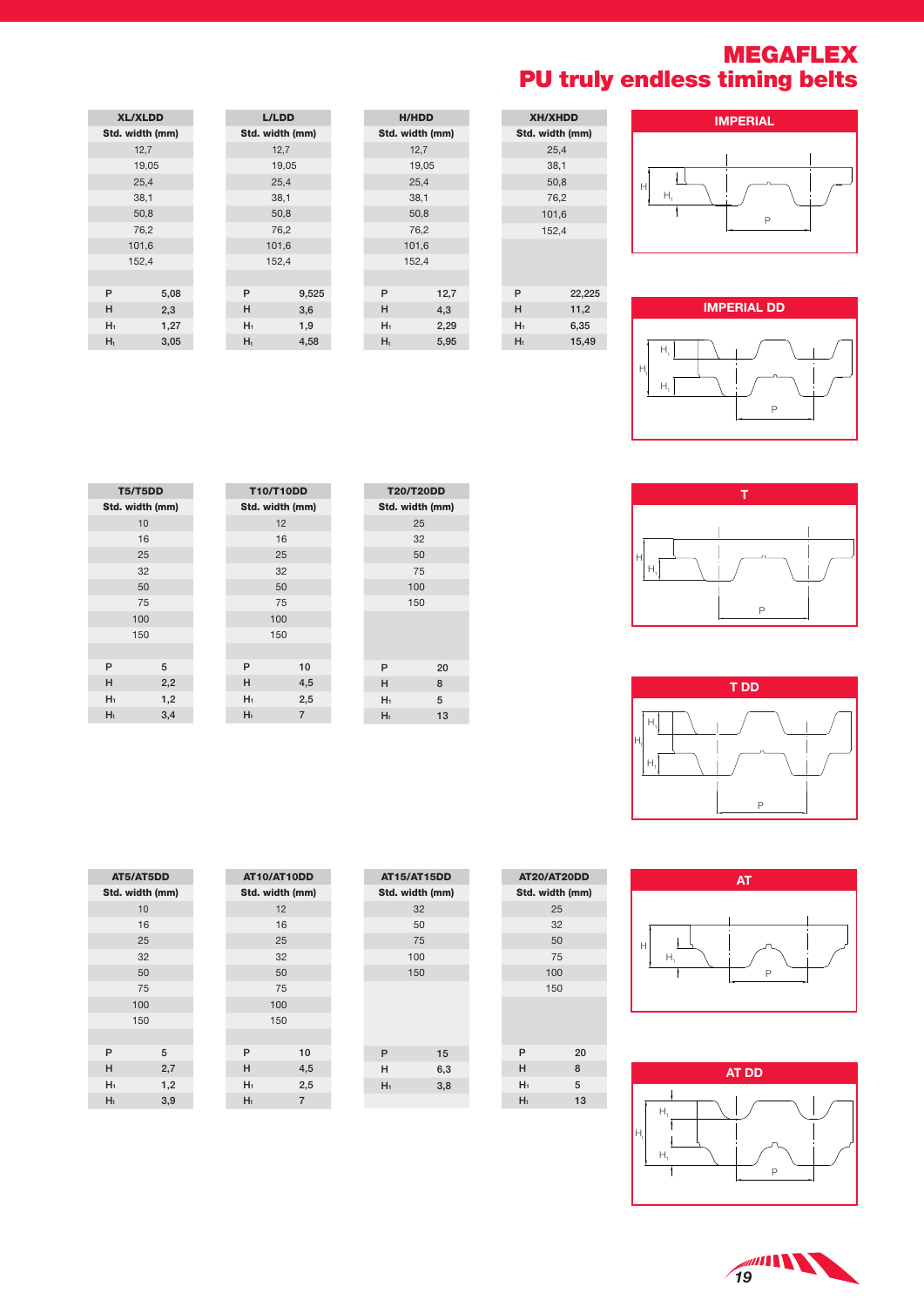## MEGAFLEX PU truly endless timing belts













**19** 

|      |  | P |  |  |
|------|--|---|--|--|
|      |  |   |  |  |
| T DD |  |   |  |  |

| ⊏              |
|----------------|
|                |
| $\overline{a}$ |

| 100 | P            |
|-----|--------------|
| 150 |              |
|     |              |
|     |              |
|     |              |
| 20  |              |
| 8   | <b>AT DD</b> |
| 5   |              |
| 13  |              |
|     | ⊢            |
|     |              |

|  | $\begin{array}{c} \begin{matrix} \mathbf{H} \\ \mathbf{H} \end{matrix} \\ \mathbf{H} \end{array}$ |
|--|---------------------------------------------------------------------------------------------------|
|  |                                                                                                   |

XH/XHDD Std. width (mm)  $25,4$  38,1 50,8 76,2 101,6 152,4

P 22,225  $H$  11,2 H1 6,35  $H_t$  15,49

|       |                | <b>H/HDD</b>    |
|-------|----------------|-----------------|
| mm)   |                | Std. width (mm) |
|       |                | 12,7            |
|       |                | 19,05           |
|       |                | 25,4            |
|       |                | 38,1            |
|       |                | 50,8            |
|       |                | 76,2            |
|       |                | 101,6           |
|       |                | 152,4           |
|       |                |                 |
| 9,525 | P              | 12,7            |
| 3,6   | н              | 4,3             |
| 1,9   | $H_1$          | 2,29            |
| 4,58  | H <sub>t</sub> | 5,95            |
|       |                |                 |

|                | <b>XL/XLDD</b>  |                | <b>L/LDD</b>    |
|----------------|-----------------|----------------|-----------------|
|                | Std. width (mm) |                | Std. width (mm) |
|                | 12,7            |                | 12,7            |
|                | 19,05           |                | 19,05           |
|                | 25,4            |                | 25,4            |
|                | 38,1            |                | 38,1            |
|                | 50,8            |                | 50,8            |
|                | 76,2            |                | 76,2            |
|                | 101,6           |                | 101,6           |
|                | 152,4           |                | 152,4           |
|                |                 |                |                 |
| P              | 5,08            | P              | 9,52            |
| н              | 2,3             | н              | 3,6             |
| H <sub>1</sub> | 1,27            | H <sub>1</sub> | 1,9             |
| $H_t$          | 3,05            | $H_t$          | 4,58            |

| <b>T5/T5DD</b>  |     | <b>T10/T10DD</b> |                 |                | <b>T20/T20DD</b> |
|-----------------|-----|------------------|-----------------|----------------|------------------|
| Std. width (mm) |     |                  | Std. width (mm) |                | Std. width (mm)  |
|                 | 10  |                  | 12              |                | 25               |
|                 | 16  |                  | 16              |                | 32               |
|                 | 25  |                  | 25              |                | 50               |
|                 | 32  |                  | 32              |                | 75               |
|                 | 50  |                  | 50              |                | 100              |
|                 | 75  |                  | 75              |                | 150              |
| 100             |     |                  | 100             |                |                  |
| 150             |     |                  | 150             |                |                  |
|                 |     |                  |                 |                |                  |
| P               | 5   | P                | 10              | P              | 20               |
| н               | 2,2 | н                | 4,5             | н              | 8                |
| $H_1$           | 1,2 | $H_1$            | 2,5             | $H_1$          | 5                |
| H <sub>t</sub>  | 3,4 | H <sub>t</sub>   | $\overline{7}$  | H <sub>t</sub> | 13               |
|                 |     |                  |                 |                |                  |

T10/T10DD

|    | AT5/AT5DD       |     |  |  |  |
|----|-----------------|-----|--|--|--|
|    | Std. width (mm) |     |  |  |  |
|    | 10              |     |  |  |  |
|    | 16              |     |  |  |  |
|    | 25              |     |  |  |  |
|    | 32              |     |  |  |  |
|    | 50              |     |  |  |  |
|    | 75              |     |  |  |  |
|    | 100             |     |  |  |  |
|    | 150             |     |  |  |  |
|    |                 |     |  |  |  |
| P  |                 | 5   |  |  |  |
| н  |                 | 2,7 |  |  |  |
| H1 |                 | 1,2 |  |  |  |
| Hł |                 | 3,9 |  |  |  |

| Std. width (mm) |     |                |
|-----------------|-----|----------------|
|                 | 12  |                |
|                 | 16  |                |
|                 | 25  |                |
|                 | 32  |                |
|                 | 50  |                |
|                 | 75  |                |
|                 | 100 |                |
|                 | 150 |                |
|                 |     |                |
| P               |     | 10             |
| н               |     | 4,5            |
| H <sub>1</sub>  |     | 2,5            |
| H <sub>t</sub>  |     | $\overline{7}$ |

AT10/AT10DD

| <b>AT15/AT15DD</b> |     |
|--------------------|-----|
| Std. width (mm)    |     |
| 32                 |     |
| 50                 |     |
| 75                 |     |
| 100                |     |
| 150                |     |
|                    |     |
|                    |     |
|                    |     |
|                    |     |
| P                  | 15  |
| н                  | 6,3 |
| $H_1$              | 3,8 |
|                    |     |

| P     | 20 |
|-------|----|
| н     | 8  |
| $H_1$ | 5  |
| H     | 13 |

AT20/AT20DD Std. width (mm) 25 32 50 75